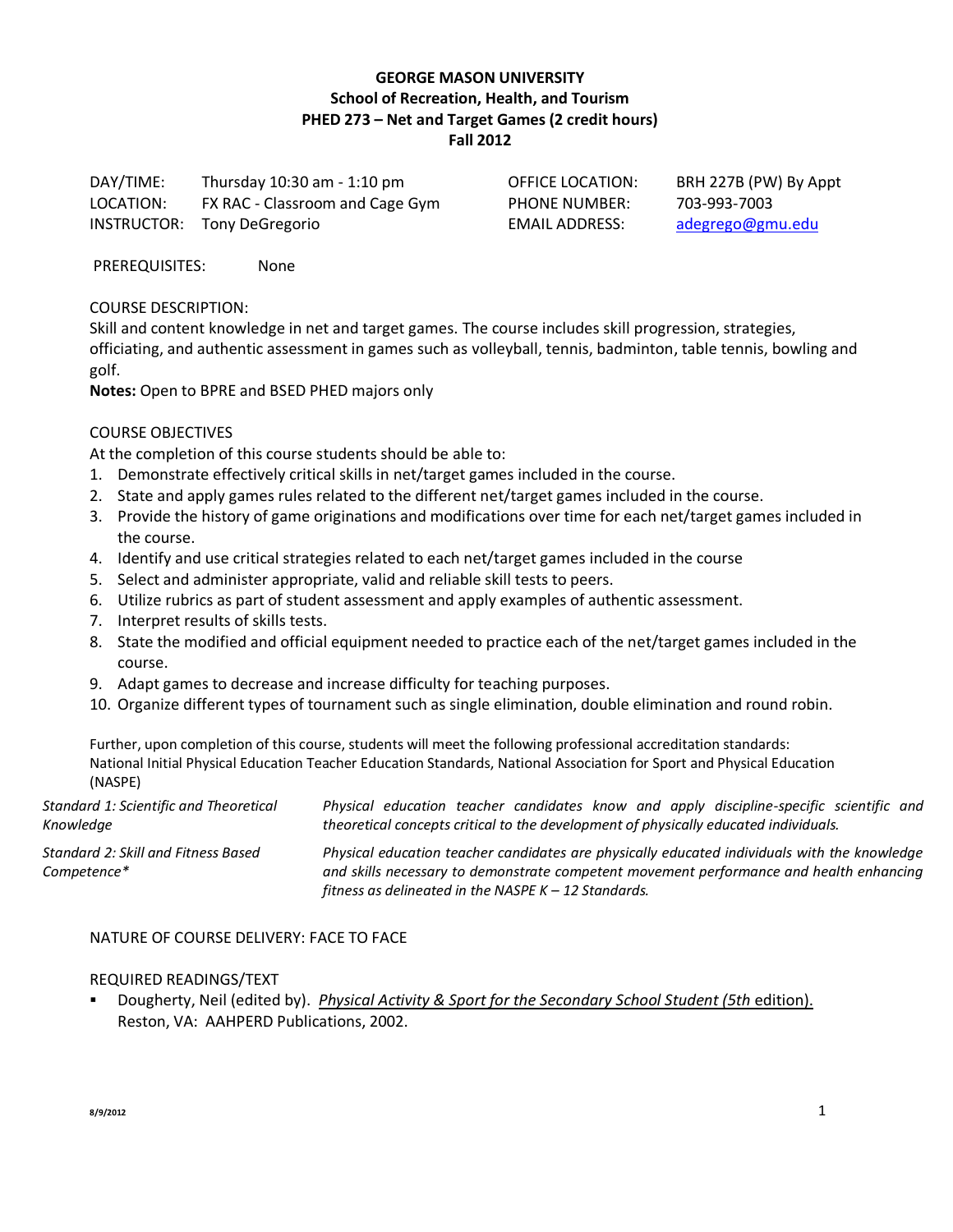## **GEORGE MASON UNIVERSITY School of Recreation, Health, and Tourism PHED 273 – Net and Target Games (2 credit hours) Fall 2012**

DAY/TIME: Thursday 10:30 am - 1:10 pm LOCATION: FX RAC - Classroom and Cage Gym INSTRUCTOR: Tony DeGregorio

PHONE NUMBER: 703-993-7003

OFFICE LOCATION: BRH 227B (PW) By Appt EMAIL ADDRESS: [adegrego@gmu.edu](mailto:adegrego@gmu.edu)

PREREQUISITES: None

COURSE DESCRIPTION:

Skill and content knowledge in net and target games. The course includes skill progression, strategies, officiating, and authentic assessment in games such as volleyball, tennis, badminton, table tennis, bowling and golf.

**Notes:** Open to BPRE and BSED PHED majors only

#### COURSE OBJECTIVES

At the completion of this course students should be able to:

- 1. Demonstrate effectively critical skills in net/target games included in the course.
- 2. State and apply games rules related to the different net/target games included in the course.
- 3. Provide the history of game originations and modifications over time for each net/target games included in the course.
- 4. Identify and use critical strategies related to each net/target games included in the course
- 5. Select and administer appropriate, valid and reliable skill tests to peers.
- 6. Utilize rubrics as part of student assessment and apply examples of authentic assessment.
- 7. Interpret results of skills tests.
- 8. State the modified and official equipment needed to practice each of the net/target games included in the course.
- 9. Adapt games to decrease and increase difficulty for teaching purposes.
- 10. Organize different types of tournament such as single elimination, double elimination and round robin.

Further, upon completion of this course, students will meet the following professional accreditation standards: National Initial Physical Education Teacher Education Standards, National Association for Sport and Physical Education (NASPE)

| Standard 1: Scientific and Theoretical             | Physical education teacher candidates know and apply discipline-specific scientific and                                                                                                                                                           |  |  |  |
|----------------------------------------------------|---------------------------------------------------------------------------------------------------------------------------------------------------------------------------------------------------------------------------------------------------|--|--|--|
| Knowledge                                          | theoretical concepts critical to the development of physically educated individuals.                                                                                                                                                              |  |  |  |
| Standard 2: Skill and Fitness Based<br>Competence* | Physical education teacher candidates are physically educated individuals with the knowledge<br>and skills necessary to demonstrate competent movement performance and health enhancing<br>fitness as delineated in the NASPE $K - 12$ Standards. |  |  |  |

#### NATURE OF COURSE DELIVERY: FACE TO FACE

#### REQUIRED READINGS/TEXT

 Dougherty, Neil (edited by). *Physical Activity & Sport for the Secondary School Student (5th* edition). Reston, VA: AAHPERD Publications, 2002.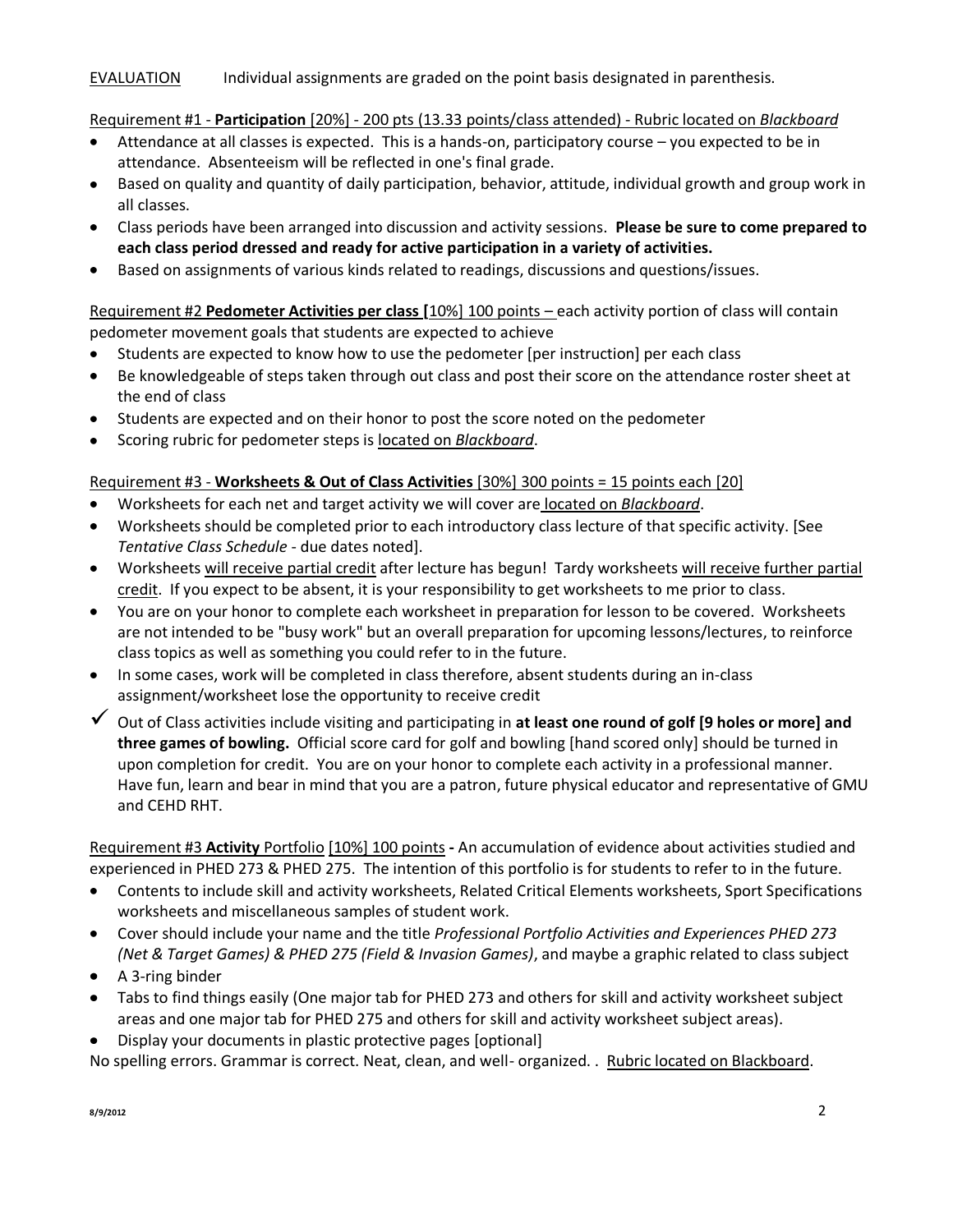## EVALUATION Individual assignments are graded on the point basis designated in parenthesis.

Requirement #1 - **Participation** [20%] - 200 pts (13.33 points/class attended) - Rubric located on *Blackboard*

- Attendance at all classes is expected. This is a hands-on, participatory course you expected to be in  $\bullet$ attendance. Absenteeism will be reflected in one's final grade.
- Based on quality and quantity of daily participation, behavior, attitude, individual growth and group work in all classes.
- Class periods have been arranged into discussion and activity sessions. **Please be sure to come prepared to each class period dressed and ready for active participation in a variety of activities.**
- Based on assignments of various kinds related to readings, discussions and questions/issues.  $\bullet$

Requirement #2 **Pedometer Activities per class [**10%] 100 points – each activity portion of class will contain pedometer movement goals that students are expected to achieve

- $\bullet$ Students are expected to know how to use the pedometer [per instruction] per each class
- Be knowledgeable of steps taken through out class and post their score on the attendance roster sheet at  $\bullet$ the end of class
- Students are expected and on their honor to post the score noted on the pedometer
- Scoring rubric for pedometer steps is located on *Blackboard*.

# Requirement #3 - **Worksheets & Out of Class Activities** [30%] 300 points = 15 points each [20]

- Worksheets for each net and target activity we will cover are located on *Blackboard*.
- Worksheets should be completed prior to each introductory class lecture of that specific activity. [See *Tentative Class Schedule* - due dates noted].
- Worksheets will receive partial credit after lecture has begun! Tardy worksheets will receive further partial credit. If you expect to be absent, it is your responsibility to get worksheets to me prior to class.
- You are on your honor to complete each worksheet in preparation for lesson to be covered. Worksheets are not intended to be "busy work" but an overall preparation for upcoming lessons/lectures, to reinforce class topics as well as something you could refer to in the future.
- In some cases, work will be completed in class therefore, absent students during an in-class assignment/worksheet lose the opportunity to receive credit
- Out of Class activities include visiting and participating in **at least one round of golf [9 holes or more] and three games of bowling.** Official score card for golf and bowling [hand scored only] should be turned in upon completion for credit. You are on your honor to complete each activity in a professional manner. Have fun, learn and bear in mind that you are a patron, future physical educator and representative of GMU and CEHD RHT.

Requirement #3 **Activity** Portfolio [10%] 100 points **-** An accumulation of evidence about activities studied and experienced in PHED 273 & PHED 275. The intention of this portfolio is for students to refer to in the future.

- Contents to include skill and activity worksheets, Related Critical Elements worksheets, Sport Specifications  $\bullet$ worksheets and miscellaneous samples of student work.
- Cover should include your name and the title *Professional Portfolio Activities and Experiences PHED 273 (Net & Target Games) & PHED 275 (Field & Invasion Games)*, and maybe a graphic related to class subject
- A 3-ring binder
- Tabs to find things easily (One major tab for PHED 273 and others for skill and activity worksheet subject areas and one major tab for PHED 275 and others for skill and activity worksheet subject areas).
- Display your documents in plastic protective pages [optional]

No spelling errors. Grammar is correct. Neat, clean, and well- organized. . Rubric located on Blackboard.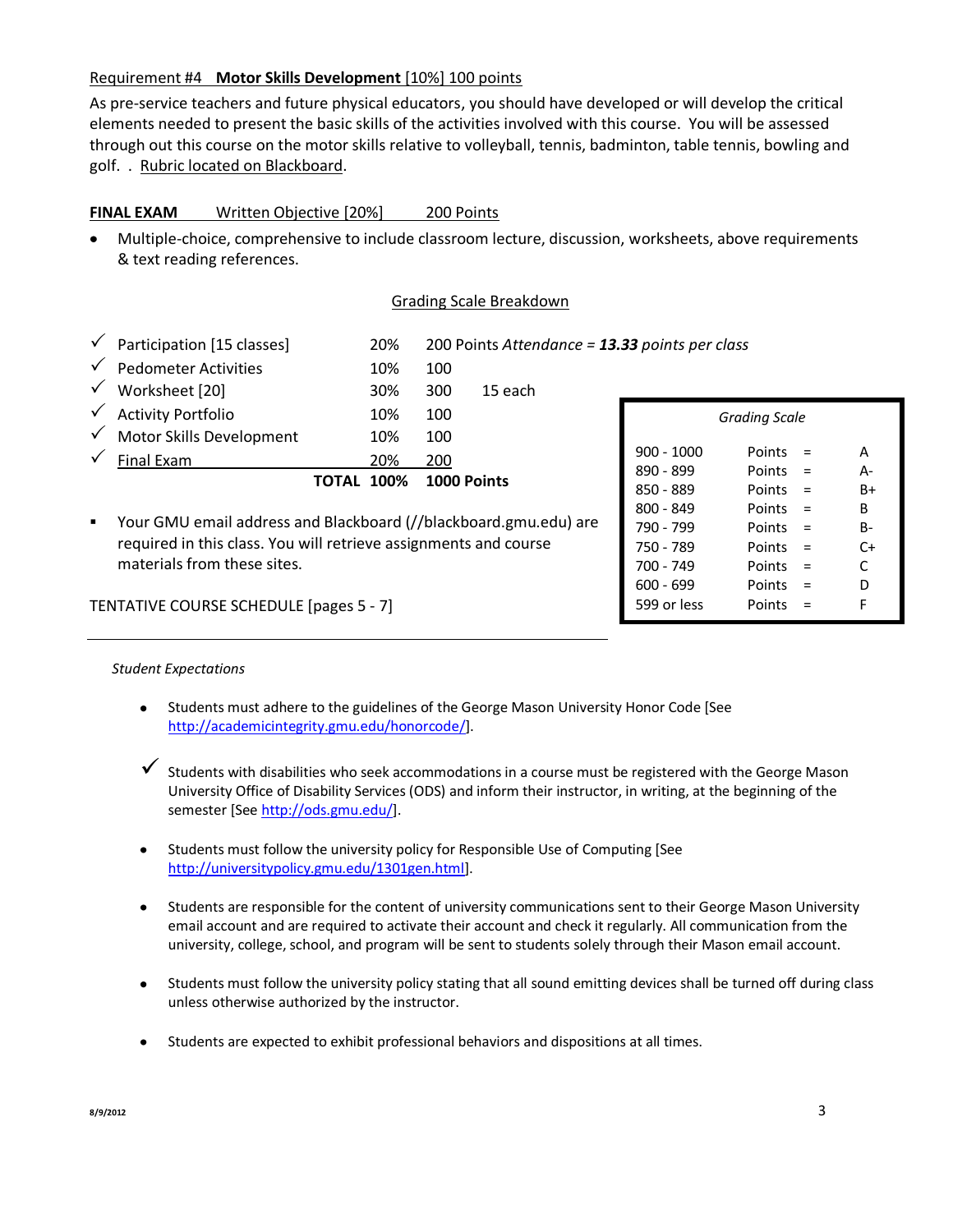# Requirement #4 **Motor Skills Development** [10%] 100 points

As pre-service teachers and future physical educators, you should have developed or will develop the critical elements needed to present the basic skills of the activities involved with this course. You will be assessed through out this course on the motor skills relative to volleyball, tennis, badminton, table tennis, bowling and golf. . Rubric located on Blackboard.

# **FINAL EXAM** Written Objective [20%] 200 Points

Multiple-choice, comprehensive to include classroom lecture, discussion, worksheets, above requirements & text reading references.

## Grading Scale Breakdown

|                | Participation [15 classes]                                                                                                           |              | 20%  |             | 200 Points Attendance = 13.33 points per class |              |                      |          |           |
|----------------|--------------------------------------------------------------------------------------------------------------------------------------|--------------|------|-------------|------------------------------------------------|--------------|----------------------|----------|-----------|
|                | <b>Pedometer Activities</b>                                                                                                          |              | 10%  | 100         |                                                |              |                      |          |           |
|                | Worksheet [20]                                                                                                                       |              | 30%  | 300         | 15 each                                        |              |                      |          |           |
|                | <b>Activity Portfolio</b>                                                                                                            |              | 10%  | 100         |                                                |              | <b>Grading Scale</b> |          |           |
|                | Motor Skills Development                                                                                                             |              | 10%  | 100         |                                                |              |                      |          |           |
|                | Final Exam                                                                                                                           |              | 20%  | 200         |                                                | $900 - 1000$ | Points               | $\equiv$ | A         |
|                |                                                                                                                                      | <b>TOTAL</b> | 100% | 1000 Points |                                                | 890 - 899    | Points $=$           |          | $A -$     |
|                |                                                                                                                                      |              |      |             |                                                | $850 - 889$  | Points $=$           |          | $B+$      |
|                |                                                                                                                                      |              |      |             |                                                | $800 - 849$  | Points $=$           |          | B         |
| $\blacksquare$ | Your GMU email address and Blackboard (//blackboard.gmu.edu) are<br>required in this class. You will retrieve assignments and course |              |      |             |                                                | 790 - 799    | Points               | $\equiv$ | <b>B-</b> |
|                |                                                                                                                                      |              |      |             |                                                | 750 - 789    | Points               |          | C+        |

TENTATIVE COURSE SCHEDULE [pages 5 - 7]

materials from these sites.

# *Student Expectations*

- Students must adhere to the guidelines of the George Mason University Honor Code [See [http://academicintegrity.gmu.edu/honorcode/\]](http://academicintegrity.gmu.edu/honorcode/).
- $\checkmark$  Students with disabilities who seek accommodations in a course must be registered with the George Mason University Office of Disability Services (ODS) and inform their instructor, in writing, at the beginning of the semester [Se[e http://ods.gmu.edu/\]](http://ods.gmu.edu/).
- Students must follow the university policy for Responsible Use of Computing [See [http://universitypolicy.gmu.edu/1301gen.html\]](http://universitypolicy.gmu.edu/1301gen.html).
- Students are responsible for the content of university communications sent to their George Mason University email account and are required to activate their account and check it regularly. All communication from the university, college, school, and program will be sent to students solely through their Mason email account.
- Students must follow the university policy stating that all sound emitting devices shall be turned off during class unless otherwise authorized by the instructor.
- $\bullet$ Students are expected to exhibit professional behaviors and dispositions at all times.

700 - 749 Points = C 600 - 699 Points = D 599 or less Points = F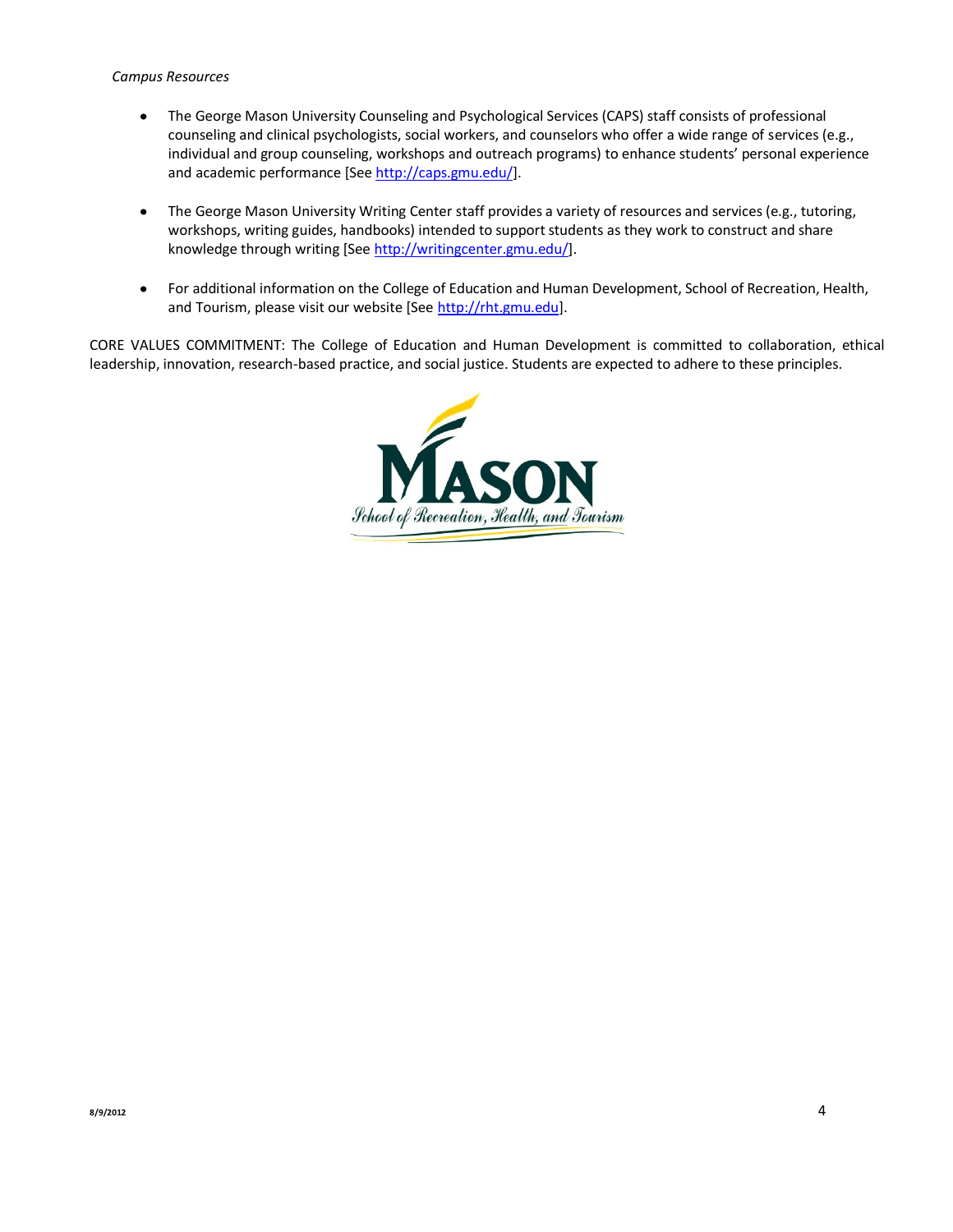#### *Campus Resources*

- The George Mason University Counseling and Psychological Services (CAPS) staff consists of professional  $\bullet$ counseling and clinical psychologists, social workers, and counselors who offer a wide range of services (e.g., individual and group counseling, workshops and outreach programs) to enhance students' personal experience and academic performance [Se[e http://caps.gmu.edu/\]](http://caps.gmu.edu/).
- The George Mason University Writing Center staff provides a variety of resources and services (e.g., tutoring,  $\bullet$ workshops, writing guides, handbooks) intended to support students as they work to construct and share knowledge through writing [Se[e http://writingcenter.gmu.edu/\]](http://writingcenter.gmu.edu/).
- $\bullet$ For additional information on the College of Education and Human Development, School of Recreation, Health, and Tourism, please visit our website [See [http://rht.gmu.edu\]](http://rht.gmu.edu/).

CORE VALUES COMMITMENT: The College of Education and Human Development is committed to collaboration, ethical leadership, innovation, research-based practice, and social justice. Students are expected to adhere to these principles.

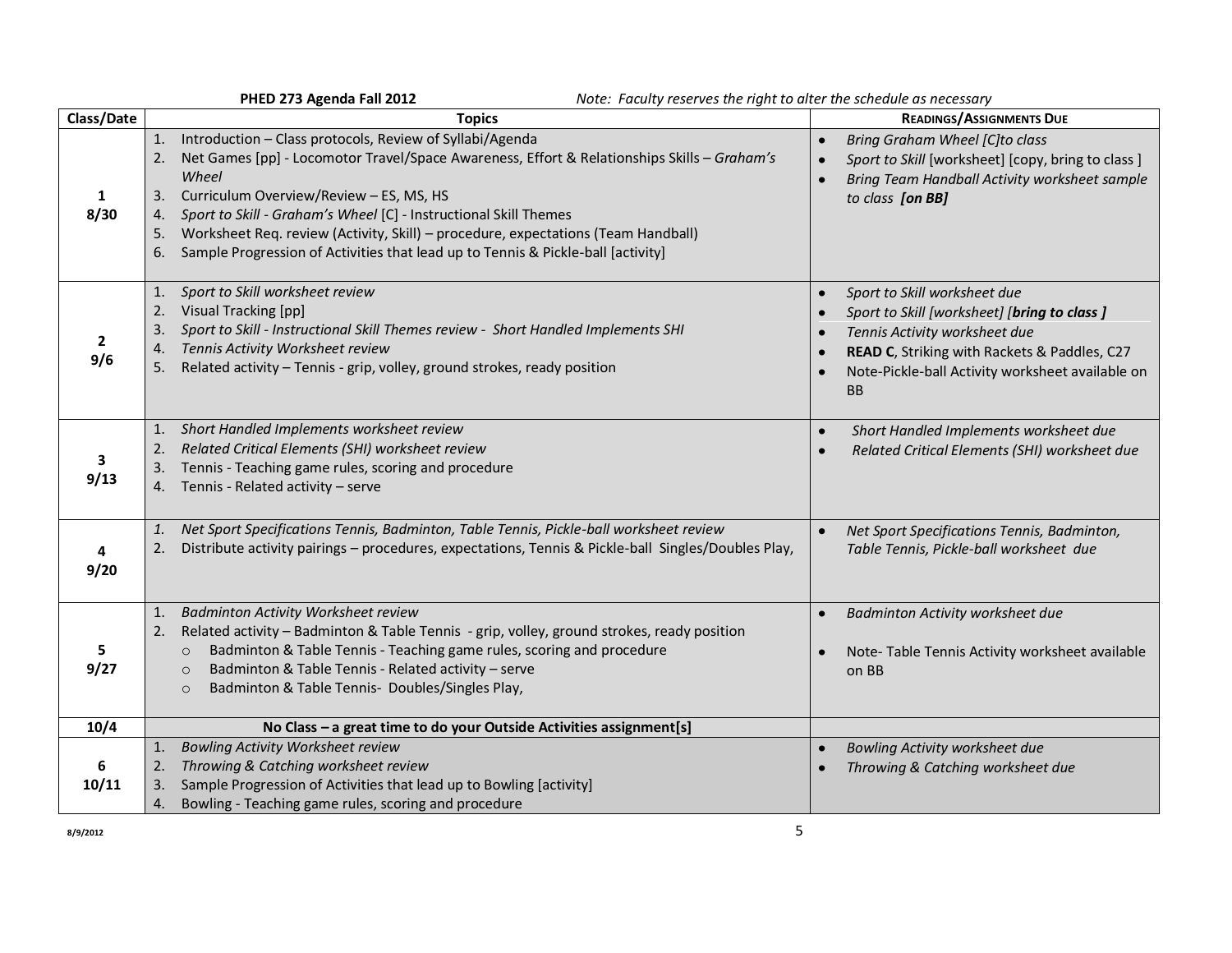|                      | PHED 273 Agenda Fall 2012<br>Note: Faculty reserves the right to alter the schedule as necessary                                                                                                                                                                                                                                                                                                                                                                                             |                                                                                                                                                                                                                                |
|----------------------|----------------------------------------------------------------------------------------------------------------------------------------------------------------------------------------------------------------------------------------------------------------------------------------------------------------------------------------------------------------------------------------------------------------------------------------------------------------------------------------------|--------------------------------------------------------------------------------------------------------------------------------------------------------------------------------------------------------------------------------|
| Class/Date           | <b>Topics</b>                                                                                                                                                                                                                                                                                                                                                                                                                                                                                | <b>READINGS/ASSIGNMENTS DUE</b>                                                                                                                                                                                                |
| $\mathbf{1}$<br>8/30 | Introduction - Class protocols, Review of Syllabi/Agenda<br>1.<br>Net Games [pp] - Locomotor Travel/Space Awareness, Effort & Relationships Skills - Graham's<br>2.<br>Wheel<br>Curriculum Overview/Review - ES, MS, HS<br>3.<br>Sport to Skill - Graham's Wheel [C] - Instructional Skill Themes<br>4.<br>Worksheet Req. review (Activity, Skill) - procedure, expectations (Team Handball)<br>5.<br>Sample Progression of Activities that lead up to Tennis & Pickle-ball [activity]<br>6. | <b>Bring Graham Wheel [C]to class</b><br>$\bullet$<br>Sport to Skill [worksheet] [copy, bring to class]<br>$\bullet$<br>Bring Team Handball Activity worksheet sample<br>to class [on BB]                                      |
| $\mathbf{2}$<br>9/6  | Sport to Skill worksheet review<br>1.<br>2.<br>Visual Tracking [pp]<br>3.<br>Sport to Skill - Instructional Skill Themes review - Short Handled Implements SHI<br>Tennis Activity Worksheet review<br>4.<br>Related activity - Tennis - grip, volley, ground strokes, ready position<br>5.                                                                                                                                                                                                   | Sport to Skill worksheet due<br>Sport to Skill [worksheet] [bring to class ]<br>Tennis Activity worksheet due<br>READ C, Striking with Rackets & Paddles, C27<br>Note-Pickle-ball Activity worksheet available on<br><b>BB</b> |
| 3<br>9/13            | 1. Short Handled Implements worksheet review<br>Related Critical Elements (SHI) worksheet review<br>2.<br>3. Tennis - Teaching game rules, scoring and procedure<br>4. Tennis - Related activity - serve                                                                                                                                                                                                                                                                                     | Short Handled Implements worksheet due<br>$\bullet$<br>Related Critical Elements (SHI) worksheet due                                                                                                                           |
| 4<br>9/20            | Net Sport Specifications Tennis, Badminton, Table Tennis, Pickle-ball worksheet review<br>1.<br>Distribute activity pairings - procedures, expectations, Tennis & Pickle-ball Singles/Doubles Play,<br>2.                                                                                                                                                                                                                                                                                    | Net Sport Specifications Tennis, Badminton,<br>$\bullet$<br>Table Tennis, Pickle-ball worksheet due                                                                                                                            |
| 5<br>9/27            | <b>Badminton Activity Worksheet review</b><br>1.<br>Related activity - Badminton & Table Tennis - grip, volley, ground strokes, ready position<br>2.<br>Badminton & Table Tennis - Teaching game rules, scoring and procedure<br>$\circ$<br>Badminton & Table Tennis - Related activity - serve<br>$\circ$<br>Badminton & Table Tennis- Doubles/Singles Play,<br>$\circ$                                                                                                                     | Badminton Activity worksheet due<br>Note-Table Tennis Activity worksheet available<br>on BB                                                                                                                                    |
| 10/4                 | No Class - a great time to do your Outside Activities assignment[s]                                                                                                                                                                                                                                                                                                                                                                                                                          |                                                                                                                                                                                                                                |
| 6<br>10/11           | <b>Bowling Activity Worksheet review</b><br>1.<br>Throwing & Catching worksheet review<br>2.<br>Sample Progression of Activities that lead up to Bowling [activity]<br>3.<br>Bowling - Teaching game rules, scoring and procedure<br>4.                                                                                                                                                                                                                                                      | Bowling Activity worksheet due<br>$\bullet$<br>Throwing & Catching worksheet due                                                                                                                                               |
| 8/9/2012             | 5                                                                                                                                                                                                                                                                                                                                                                                                                                                                                            |                                                                                                                                                                                                                                |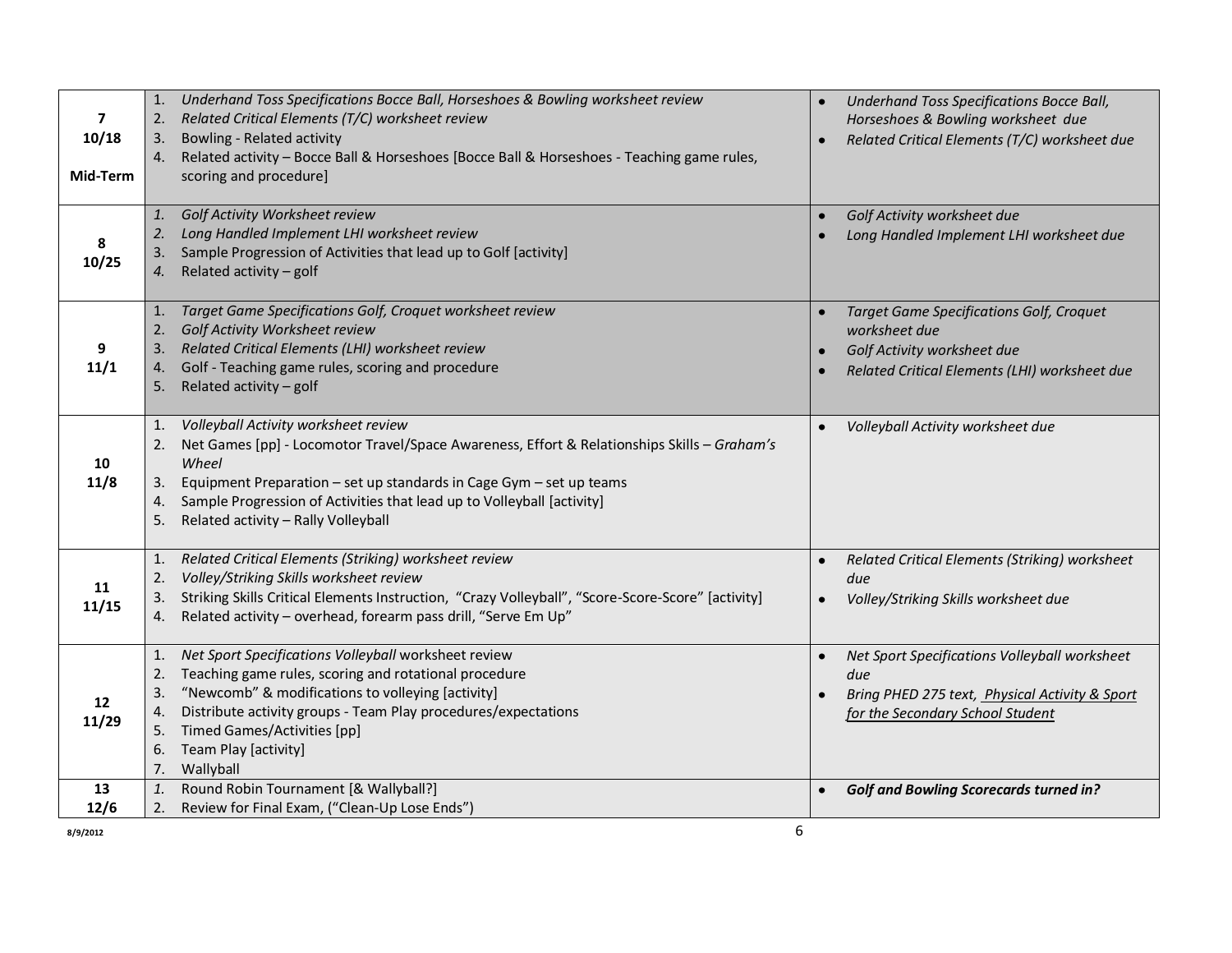|                         | Underhand Toss Specifications Bocce Ball, Horseshoes & Bowling worksheet review<br>1.                                                               | Underhand Toss Specifications Bocce Ball,       |
|-------------------------|-----------------------------------------------------------------------------------------------------------------------------------------------------|-------------------------------------------------|
| $\overline{\mathbf{z}}$ | Related Critical Elements (T/C) worksheet review<br>2.                                                                                              | Horseshoes & Bowling worksheet due              |
| 10/18                   | <b>Bowling - Related activity</b><br>3.                                                                                                             | Related Critical Elements (T/C) worksheet due   |
|                         | Related activity - Bocce Ball & Horseshoes [Bocce Ball & Horseshoes - Teaching game rules,<br>4.                                                    |                                                 |
| Mid-Term                | scoring and procedure]                                                                                                                              |                                                 |
|                         |                                                                                                                                                     |                                                 |
|                         | Golf Activity Worksheet review<br>1.                                                                                                                | Golf Activity worksheet due                     |
| 8                       | Long Handled Implement LHI worksheet review<br>2.                                                                                                   | Long Handled Implement LHI worksheet due        |
| 10/25                   | Sample Progression of Activities that lead up to Golf [activity]<br>3.                                                                              |                                                 |
|                         | Related activity - golf<br>4.                                                                                                                       |                                                 |
|                         |                                                                                                                                                     |                                                 |
|                         | Target Game Specifications Golf, Croquet worksheet review<br>1.                                                                                     | <b>Target Game Specifications Golf, Croquet</b> |
|                         | Golf Activity Worksheet review<br>2.                                                                                                                | worksheet due                                   |
| 9                       | 3. Related Critical Elements (LHI) worksheet review                                                                                                 | Golf Activity worksheet due                     |
| 11/1                    | Golf - Teaching game rules, scoring and procedure<br>4.                                                                                             | Related Critical Elements (LHI) worksheet due   |
|                         | Related activity $-$ golf<br>5.                                                                                                                     |                                                 |
|                         | Volleyball Activity worksheet review<br>1.                                                                                                          |                                                 |
|                         | Net Games [pp] - Locomotor Travel/Space Awareness, Effort & Relationships Skills - Graham's<br>2.                                                   | Volleyball Activity worksheet due               |
| 10                      | Wheel                                                                                                                                               |                                                 |
| 11/8                    |                                                                                                                                                     |                                                 |
|                         | Equipment Preparation - set up standards in Cage Gym - set up teams<br>3.<br>Sample Progression of Activities that lead up to Volleyball [activity] |                                                 |
|                         | 4.<br>Related activity - Rally Volleyball<br>5.                                                                                                     |                                                 |
|                         |                                                                                                                                                     |                                                 |
|                         | Related Critical Elements (Striking) worksheet review<br>1.                                                                                         | Related Critical Elements (Striking) worksheet  |
|                         | Volley/Striking Skills worksheet review<br>2.                                                                                                       | due                                             |
| 11                      | Striking Skills Critical Elements Instruction, "Crazy Volleyball", "Score-Score-Score" [activity]<br>3.                                             | Volley/Striking Skills worksheet due            |
| 11/15                   | Related activity - overhead, forearm pass drill, "Serve Em Up"<br>4.                                                                                |                                                 |
|                         |                                                                                                                                                     |                                                 |
|                         | Net Sport Specifications Volleyball worksheet review<br>1.                                                                                          | Net Sport Specifications Volleyball worksheet   |
|                         | Teaching game rules, scoring and rotational procedure<br>2.                                                                                         | due                                             |
| 12                      | "Newcomb" & modifications to volleying [activity]<br>3.                                                                                             | Bring PHED 275 text, Physical Activity & Sport  |
| 11/29                   | Distribute activity groups - Team Play procedures/expectations<br>4.                                                                                | for the Secondary School Student                |
|                         | Timed Games/Activities [pp]<br>5.                                                                                                                   |                                                 |
|                         | Team Play [activity]<br>6.                                                                                                                          |                                                 |
|                         | Wallyball<br>7.                                                                                                                                     |                                                 |
| 13                      | Round Robin Tournament [& Wallyball?]<br>1.                                                                                                         | <b>Golf and Bowling Scorecards turned in?</b>   |
| 12/6                    | Review for Final Exam, ("Clean-Up Lose Ends")<br>2.                                                                                                 |                                                 |
| 8/9/2012                |                                                                                                                                                     | 6                                               |